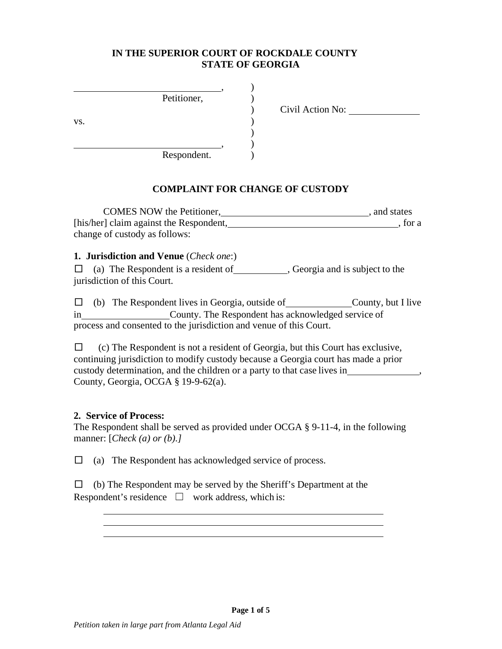## **IN THE SUPERIOR COURT OF ROCKDALE COUNTY STATE OF GEORGIA**

|     | Petitioner, |  |
|-----|-------------|--|
|     |             |  |
| VS. |             |  |
|     |             |  |
|     |             |  |
|     | Respondent. |  |

) Civil Action No:

# **COMPLAINT FOR CHANGE OF CUSTODY**

 $\lambda$ 

)  $\mathcal{L}$ 

| <b>COMES NOW the Petitioner,</b>        | and states |
|-----------------------------------------|------------|
| [his/her] claim against the Respondent, | , for a    |
| change of custody as follows:           |            |

**1. Jurisdiction and Venue** (*Check one*:)

□ (a) The Respondent is a resident of \_\_\_\_\_\_\_\_\_\_\_\_\_\_, Georgia and is subject to the jurisdiction of this Court.

 $\Box$  (b) The Respondent lives in Georgia, outside of County, but I live in County. The Respondent has acknowledged service of process and consented to the jurisdiction and venue of this Court.

 $\Box$  (c) The Respondent is not a resident of Georgia, but this Court has exclusive, continuing jurisdiction to modify custody because a Georgia court has made a prior custody determination, and the children or a party to that case lives in , County, Georgia, OCGA § 19-9-62(a).

#### **2. Service of Process:**

The Respondent shall be served as provided under OCGA § 9-11-4, in the following manner: [*Check (a) or (b).]*

 $\Box$  (a) The Respondent has acknowledged service of process.

 $\Box$  (b) The Respondent may be served by the Sheriff's Department at the Respondent's residence  $\Box$  work address, which is:

<u> 1980 - Johann Barbara, martxa alemaniar amerikan a</u>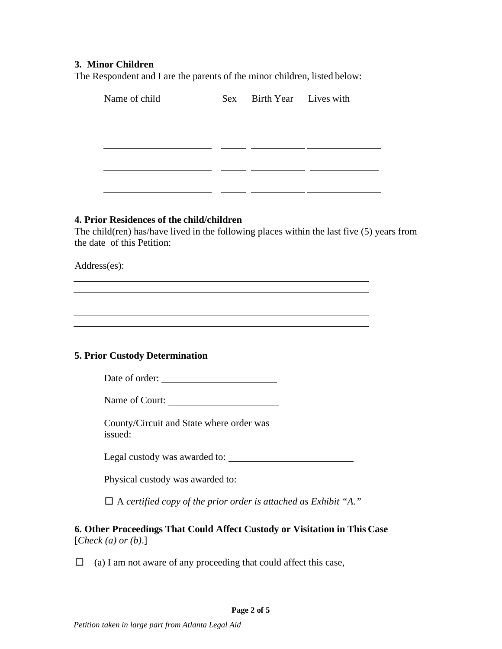## **3. Minor Children**

The Respondent and I are the parents of the minor children, listed below:

| Name of child | Sex | Birth Year Lives with |  |
|---------------|-----|-----------------------|--|
|               |     |                       |  |
|               |     |                       |  |
|               |     |                       |  |
|               |     |                       |  |
|               |     |                       |  |
|               |     |                       |  |

#### **4. Prior Residences of the child/children**

The child(ren) has/have lived in the following places within the last five (5) years from the date of this Petition:

Address(es):

## **5. Prior Custody Determination**

Date of order:

Name of Court:

County/Circuit and State where order was issued:

Legal custody was awarded to:

Physical custody was awarded to:

□ A *certified copy of the prior order is attached as Exhibit "A."*

**6. Other Proceedings That Could Affect Custody or Visitation in This Case** [*Check (a) or (b)*.]

 $\Box$  (a) I am not aware of any proceeding that could affect this case,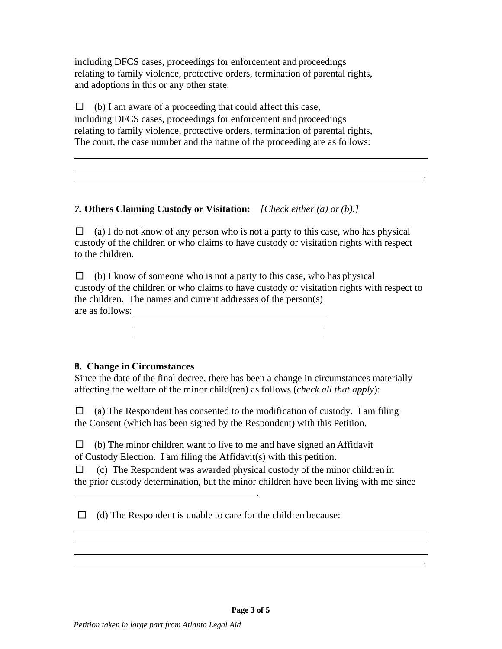including DFCS cases, proceedings for enforcement and proceedings relating to family violence, protective orders, termination of parental rights, and adoptions in this or any other state.

 $\Box$  (b) I am aware of a proceeding that could affect this case, including DFCS cases, proceedings for enforcement and proceedings relating to family violence, protective orders, termination of parental rights, The court, the case number and the nature of the proceeding are as follows:

*7.* **Others Claiming Custody or Visitation:** *[Check either (a) or(b).]*

 $\Box$  (a) I do not know of any person who is not a party to this case, who has physical custody of the children or who claims to have custody or visitation rights with respect to the children.

.

 $\Box$  (b) I know of someone who is not a party to this case, who has physical custody of the children or who claims to have custody or visitation rights with respect to the children. The names and current addresses of the person(s) are as follows:

**8. Change in Circumstances**

Since the date of the final decree, there has been a change in circumstances materially affecting the welfare of the minor child(ren) as follows (*check all that apply*):

 $\Box$  (a) The Respondent has consented to the modification of custody. I am filing the Consent (which has been signed by the Respondent) with this Petition.

 $\Box$  (b) The minor children want to live to me and have signed an Affidavit of Custody Election. I am filing the Affidavit(s) with this petition.

 $\Box$  (c) The Respondent was awarded physical custody of the minor children in the prior custody determination, but the minor children have been living with me since

 $\Box$  (d) The Respondent is unable to care for the children because:

.

.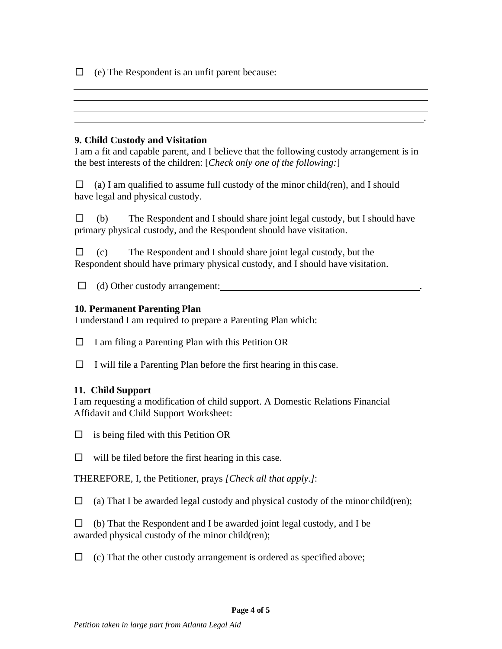$\Box$  (e) The Respondent is an unfit parent because:

## **9. Child Custody and Visitation**

I am a fit and capable parent, and I believe that the following custody arrangement is in the best interests of the children: [*Check only one of the following:*]

.

 $\Box$  (a) I am qualified to assume full custody of the minor child(ren), and I should have legal and physical custody.

 $\Box$  (b) The Respondent and I should share joint legal custody, but I should have primary physical custody, and the Respondent should have visitation.

 $\Box$  (c) The Respondent and I should share joint legal custody, but the Respondent should have primary physical custody, and I should have visitation.

□ (d) Other custody arrangement: .

# **10. Permanent Parenting Plan**

I understand I am required to prepare a Parenting Plan which:

 $\Box$  I am filing a Parenting Plan with this Petition OR

 $\Box$  I will file a Parenting Plan before the first hearing in this case.

## **11. Child Support**

I am requesting a modification of child support. A Domestic Relations Financial Affidavit and Child Support Worksheet:

 $\Box$  is being filed with this Petition OR

 $\Box$  will be filed before the first hearing in this case.

THEREFORE, I, the Petitioner, prays *[Check all that apply.]*:

 $\Box$  (a) That I be awarded legal custody and physical custody of the minor child(ren);

 $\Box$  (b) That the Respondent and I be awarded joint legal custody, and I be awarded physical custody of the minor child(ren);

 $\Box$  (c) That the other custody arrangement is ordered as specified above;